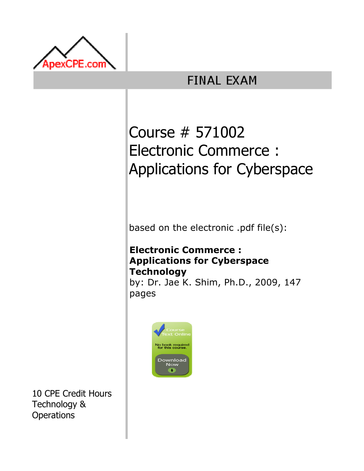

## **FINAL EXAM**

# Course # 571002 Electronic Commerce : Applications for Cyberspace

based on the electronic .pdf file(s):

### Electronic Commerce : Applications for Cyberspace **Technology**

by: Dr. Jae K. Shim, Ph.D., 2009, 147 pages



10 CPE Credit Hours Technology & **Operations**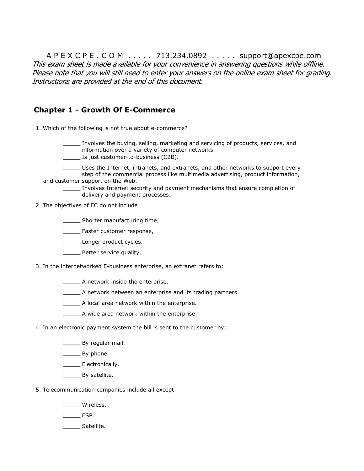A P E X C P E . C O M . . . . . 713.234.0892 . . . . . support@apexcpe.com This exam sheet is made available for your convenience in answering questions while offline. Please note that you will still need to enter your answers on the online exam sheet for grading. Instructions are provided at the end of this document.

#### Chapter 1 - Growth Of E-Commerce

1. Which of the following is not true about e-commerce?

Involves the buying, selling, marketing and servicing of products, services, and information over a variety of computer networks.

Is just customer-to-business (C2B).

Uses the Internet, intranets, and extranets, and other networks to support every step of the commercial process like multimedia advertising, product information, and customer support on the Web.

Involves Internet security and payment mechanisms that ensure completion of delivery and payment processes.

2. The objectives of EC do not include

Shorter manufacturing time,

**LETTE:** Faster customer response,

Longer product cycles.

**Better service quality,** 

3. In the internetworked E-business enterprise, an extranet refers to:

- A network inside the enterprise.
- $\Box$  A network between an enterprise and its trading partners.
- A local area network within the enterprise.
- A wide area network within the enterprise.
- 4. In an electronic payment system the bill is sent to the customer by:
	- **By regular mail.**

**Licarry** By phone.

**Electronically.** 

**By satellite.** 

5. Telecommunication companies include all except:

Wireless.

 $L$  ESP.

| Satellite.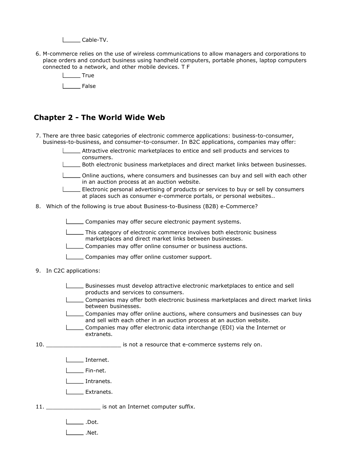Louis Cable-TV.

6. M-commerce relies on the use of wireless communications to allow managers and corporations to place orders and conduct business using handheld computers, portable phones, laptop computers connected to a network, and other mobile devices. T F



#### Chapter 2 - The World Wide Web

- 7. There are three basic categories of electronic commerce applications: business-to-consumer, business-to-business, and consumer-to-consumer. In B2C applications, companies may offer:
	- Attractive electronic marketplaces to entice and sell products and services to consumers.
	- Both electronic business marketplaces and direct market links between businesses.
	- Online auctions, where consumers and businesses can buy and sell with each other in an auction process at an auction website.
	- Electronic personal advertising of products or services to buy or sell by consumers at places such as consumer e-commerce portals, or personal websites..
- 8. Which of the following is true about Business-to-Business (B2B) e-Commerce?

Companies may offer secure electronic payment systems.

- This category of electronic commerce involves both electronic business marketplaces and direct market links between businesses.
- Companies may offer online consumer or business auctions.
- Companies may offer online customer support.
- 9. In C2C applications:
	- Businesses must develop attractive electronic marketplaces to entice and sell products and services to consumers.
	- Companies may offer both electronic business marketplaces and direct market links between businesses.
	- Companies may offer online auctions, where consumers and businesses can buy and sell with each other in an auction process at an auction website.
	- Companies may offer electronic data interchange (EDI) via the Internet or extranets.
- $10.$ is not a resource that e-commerce systems rely on.
	- **Internet.**
	- $I =$ Fin-net.
	- I \_\_ Intranets.
	- **L** Extranets.

11. \_\_\_\_\_\_\_\_\_\_\_\_\_\_\_\_\_\_\_\_\_ is not an Internet computer suffix.

.Dot.

 $\Box$ .Net.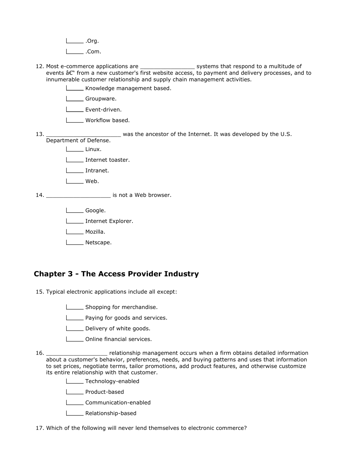$\Box$ .Org.

 $\Box$ .Com.

- 12. Most e-commerce applications are Most employed a pullished and the community are  $\frac{1}{2}$  systems that respond to a multitude of events  $\hat{a}\epsilon$ " from a new customer's first website access, to payment and delivery processes, and to innumerable customer relationship and supply chain management activities.
	- Knowledge management based.

L**ECOLL** Groupware.

L\_\_\_\_\_ Event-driven.

**L\_\_\_\_** Workflow based.

13. $-$ \_\_\_\_\_\_\_\_\_\_\_\_\_\_\_\_\_\_\_\_\_\_ was the ancestor of the Internet. It was developed by the U.S. Department of Defense.

Linux.

L\_\_\_\_\_\_ Internet toaster.

**Intranet.** 

l Web.

14. \_\_\_\_\_\_\_\_\_\_\_\_\_\_\_\_\_\_\_\_\_\_\_\_\_\_ is not a Web browser.

Lackson Google.

**Internet Explorer.** 

L<sub>\_\_\_\_</sub>\_\_\_\_ Mozilla.

L<sub>Netscape.</sub>

#### Chapter 3 - The Access Provider Industry

15. Typical electronic applications include all except:

Shopping for merchandise.

**LETT** Paying for goods and services.

Delivery of white goods.

**L\_\_\_\_** Online financial services.

16. relationship management occurs when a firm obtains detailed information about a customer's behavior, preferences, needs, and buying patterns and uses that information to set prices, negotiate terms, tailor promotions, add product features, and otherwise customize its entire relationship with that customer.

**Lechnology-enabled** 

Product-based

**LECOMMUNICATION-enabled** 

**LETTE** Relationship-based

17. Which of the following will never lend themselves to electronic commerce?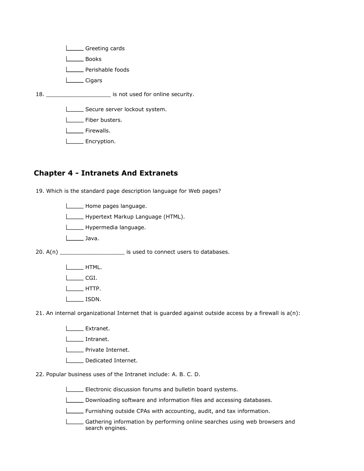**Looks** 

**L**\_\_\_\_\_\_ Perishable foods

L<sub>Cigars</sub>

18. \_\_\_\_\_\_\_\_\_\_\_\_\_\_\_\_\_\_\_ is not used for online security.

Secure server lockout system.

**L**\_\_\_\_\_\_\_ Fiber busters.

I\_\_\_\_ Firewalls.

L<sub>L</sub>Encryption.

#### Chapter 4 - Intranets And Extranets

19. Which is the standard page description language for Web pages?

**Lackson** Home pages language.

Hypertext Markup Language (HTML).

**Lackson** Hypermedia language.

Java.

 $20. A(n)$  \_\_\_\_\_\_\_\_\_\_\_\_\_\_\_\_\_\_\_\_\_\_\_\_ is used to connect users to databases.

L**ETTE** HTML.

 $L$  CGI.

 $L$  HTTP.

ISDN.

21. An internal organizational Internet that is guarded against outside access by a firewall is a(n):

L**Extranet**.

Intranet.

**LETTE** Private Internet.

Dedicated Internet.

22. Popular business uses of the Intranet include: A. B. C. D.

Electronic discussion forums and bulletin board systems.

Downloading software and information files and accessing databases.

**Furnishing outside CPAs with accounting, audit, and tax information.** 

Gathering information by performing online searches using web browsers and search engines.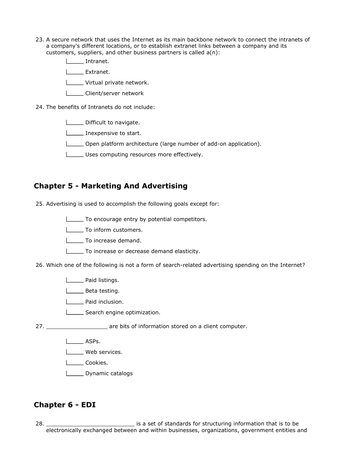- 23. A secure network that uses the Internet as its main backbone network to connect the intranets of a company's different locations, or to establish extranet links between a company and its customers, suppliers, and other business partners is called a(n):
	- Intranet.

L<sub>Extranet.</sub>

- **LECTE** Virtual private network.
- L**Client/server network**
- 24. The benefits of Intranets do not include:
	- Difficult to navigate.
	- **Inexpensive to start.**
	- Open platform architecture (large number of add-on application).
	- Uses computing resources more effectively.

#### Chapter 5 - Marketing And Advertising

- 25. Advertising is used to accomplish the following goals except for:
	- To encourage entry by potential competitors.
	- **LETT** To inform customers.
	- To increase demand.
	- To increase or decrease demand elasticity.
- 26. Which one of the following is not a form of search-related advertising spending on the Internet?
	- **Lackson** Paid listings.
	- Loom Beta testing.
	- | \_\_ Paid inclusion.
	- Search engine optimization.
- 27. \_\_\_\_\_\_\_\_\_\_\_\_\_\_\_\_\_\_ are bits of information stored on a client computer.
	- Lasps.
	- I \_\_\_\_ Web services.
	- I Cookies.
	- **L\_\_\_\_\_** Dynamic catalogs

#### Chapter 6 - EDI

28. \_\_\_\_\_\_\_\_\_\_\_\_\_\_\_\_\_\_\_\_\_\_\_\_\_\_ is a set of standards for structuring information that is to be electronically exchanged between and within businesses, organizations, government entities and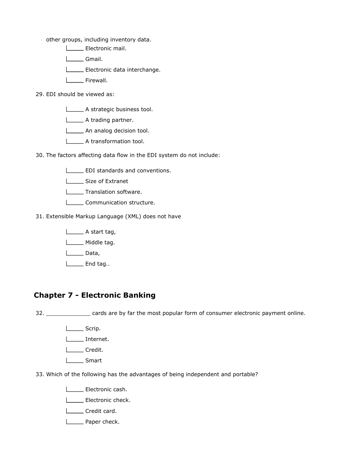other groups, including inventory data.

Electronic mail.

Logon Gmail.

Electronic data interchange.

L<sub>\_\_\_</sub>Firewall.

#### 29. EDI should be viewed as:

A strategic business tool.

A trading partner.

An analog decision tool.

**L\_\_\_\_\_\_** A transformation tool.

30. The factors affecting data flow in the EDI system do not include:

- **EDI** standards and conventions.
- | Size of Extranet
- **Translation software.**
- **LECOMMUNICATION Structure.**

31. Extensible Markup Language (XML) does not have

A start tag,

Middle tag.

 $\Box$ Data,

L<sub>End tag..</sub>

#### Chapter 7 - Electronic Banking

32. \_\_\_\_\_\_\_\_\_\_\_\_\_ cards are by far the most popular form of consumer electronic payment online.

- L\_\_\_\_\_\_\_ Scrip.
- Internet.

Logon Credit.

L<sub>Smart</sub>

33. Which of the following has the advantages of being independent and portable?

Electronic cash.

| Electronic check.

Loose Credit card.

**L** Paper check.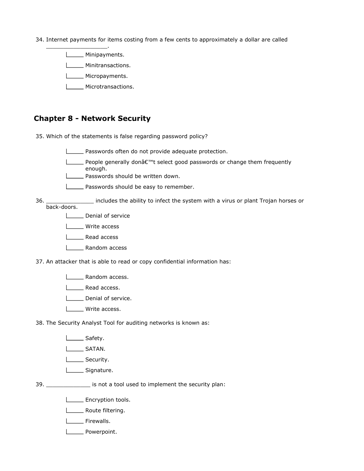34. Internet payments for items costing from a few cents to approximately a dollar are called

**Minipayments.** 

\_\_\_\_\_\_\_\_\_\_\_\_\_\_\_\_\_\_.

- **Minitransactions.**
- **Micropayments.**
- **Microtransactions.**

#### Chapter 8 - Network Security

35. Which of the statements is false regarding password policy?

- Passwords often do not provide adequate protection.
- $\Box$  People generally donâ $\epsilon$ <sup>m</sup>t select good passwords or change them frequently enough.
- **L\_\_\_\_\_** Passwords should be written down.
- **LETT** Passwords should be easy to remember.
- 36. includes the ability to infect the system with a virus or plant Trojan horses or back-doors.
	- Denial of service
	- U<sub>Write</sub> access
	- Read access
	- L\_\_\_\_\_\_ Random access
- 37. An attacker that is able to read or copy confidential information has:
	- **LECT** Random access.
	- **Lead access.**
	- **L** Denial of service.
	- **LECCLE** Write access.
- 38. The Security Analyst Tool for auditing networks is known as:
	- Safety.
	- **L\_\_\_\_\_\_\_\_ SATAN.**
	- **LECTEL** Security.
	- L\_\_\_\_\_\_\_ Signature.
- 39. \_\_\_\_\_\_\_\_\_\_\_\_\_ is not a tool used to implement the security plan:
	- **Encryption tools.**
	- **LETTE** Route filtering.
	- L<sub>L</sub> Firewalls.
	- L\_\_\_\_\_\_ Powerpoint.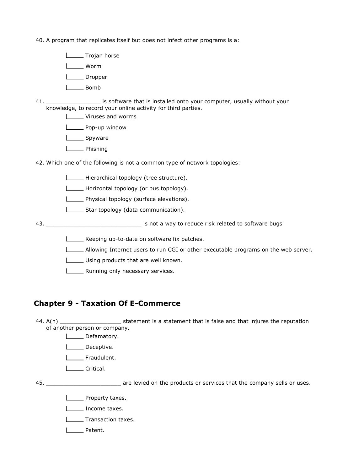40. A program that replicates itself but does not infect other programs is a:

**Liefer** Trojan horse

l\_\_\_\_\_ Worm

- **Lackson** Dropper
- Bomb
- 41. \_\_\_\_\_\_\_\_\_\_\_\_\_\_\_\_ is software that is installed onto your computer, usually without your knowledge, to record your online activity for third parties.
	- **LECCCC** Viruses and worms
	- **Lower Pop-up window**
	- L\_\_\_\_\_\_ Spyware
	- Phishing

42. Which one of the following is not a common type of network topologies:

- Hierarchical topology (tree structure).
- Horizontal topology (or bus topology).
- **LECT** Physical topology (surface elevations).
- Star topology (data communication).

43. \_\_\_\_\_\_\_\_\_\_\_\_\_\_\_\_\_\_\_\_\_\_\_\_\_\_\_\_ is not a way to reduce risk related to software bugs

- Keeping up-to-date on software fix patches.
- Allowing Internet users to run CGI or other executable programs on the web server.
- Using products that are well known.
- **LETT** Running only necessary services.

#### Chapter 9 - Taxation Of E-Commerce

44.  $A(n)$ Statement is a statement that is false and that injures the reputation of another person or company.

- **LETT** Defamatory.
- **L\_\_\_\_** Deceptive.
- **Letter** Fraudulent.
- **Lacker** Critical.

 $45.$ 

**EXECUTE:** are levied on the products or services that the company sells or uses.

- **L** Property taxes.
- I \_\_\_\_ Income taxes.
- | \_\_ Transaction taxes.
- L<sub>D</sub>Patent.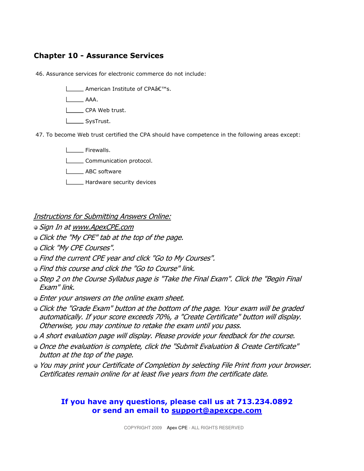#### Chapter 10 - Assurance Services

46. Assurance services for electronic commerce do not include:

**L** American Institute of CPAâ€<sup>™</sup>s.

AAA.

- CPA Web trust.
- **L\_\_\_\_\_\_** SysTrust.

47. To become Web trust certified the CPA should have competence in the following areas except:

- **LECTE** Firewalls. L**Communication** protocol. **LECTED** ABC software
- **L\_\_\_\_\_** Hardware security devices

Instructions for Submitting Answers Online:

- $\bullet$  Sign In at www.ApexCPE.com
- **Click the "My CPE" tab at the top of the page.**
- **Click "My CPE Courses".**
- Find the current CPE year and click "Go to My Courses".
- $\bullet$  Find this course and click the "Go to Course" link.
- Step 2 on the Course Syllabus page is "Take the Final Exam". Click the "Begin Final Exam" link.
- **Enter your answers on the online exam sheet.**
- **Click the "Grade Exam" button at the bottom of the page. Your exam will be graded** automatically. If your score exceeds 70%, a "Create Certificate" button will display. Otherwise, you may continue to retake the exam until you pass.
- A short evaluation page will display. Please provide your feedback for the course.
- Once the evaluation is complete, click the "Submit Evaluation & Create Certificate" button at the top of the page.
- You may print your Certificate of Completion by selecting File Print from your browser. Certificates remain online for at least five years from the certificate date.

#### If you have any questions, please call us at 713.234.0892 or send an email to support@apexcpe.com